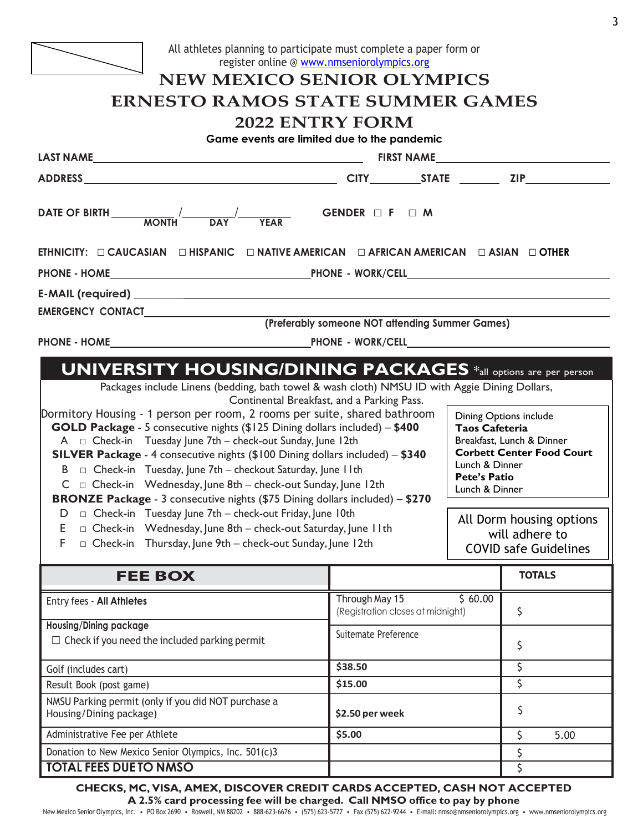

## All athletes planning to participate must complete a paper form or register online @ [www.nmseniorolympics.org](http://www.nmseniorolympics.org/)

## **NEW MEXICO SENIOR OLYMPICS ERNESTO RAMOS STATE SUMMER GAMES**

## **2022 ENTRY FORM**

**Game events are limited due to the pandemic**

| Game events are limited due to the pandemic<br>LAST NAMELASSE AND A CONTROL CONTROL CONTROL CONTROL CONTROL CONTROL CONTROL CONTROL CONTROL CONTROL CONTROL CONTROL CONTROL CONTROL CONTROL CONTROL CONTROL CONTROL CONTROL CONTROL CONTROL CONTROL CONTROL CONTROL CONTROL C                                                                                                                                                                                                                                                                                                                                                                                                                                                                                                                                                                                                                                                                                                                                                                               | FIRST NAME                                                           |  |                                                                                                                |               |  |
|-------------------------------------------------------------------------------------------------------------------------------------------------------------------------------------------------------------------------------------------------------------------------------------------------------------------------------------------------------------------------------------------------------------------------------------------------------------------------------------------------------------------------------------------------------------------------------------------------------------------------------------------------------------------------------------------------------------------------------------------------------------------------------------------------------------------------------------------------------------------------------------------------------------------------------------------------------------------------------------------------------------------------------------------------------------|----------------------------------------------------------------------|--|----------------------------------------------------------------------------------------------------------------|---------------|--|
|                                                                                                                                                                                                                                                                                                                                                                                                                                                                                                                                                                                                                                                                                                                                                                                                                                                                                                                                                                                                                                                             |                                                                      |  |                                                                                                                |               |  |
| DATE OF BIRTH $\frac{1}{MOMTH}$ DAY                                                                                                                                                                                                                                                                                                                                                                                                                                                                                                                                                                                                                                                                                                                                                                                                                                                                                                                                                                                                                         | GENDER $\Box$ F $\Box$ M                                             |  |                                                                                                                |               |  |
| ETHNICITY: □ CAUCASIAN □ HISPANIC □ NATIVE AMERICAN □ AFRICAN AMERICAN □ ASIAN □ OTHER                                                                                                                                                                                                                                                                                                                                                                                                                                                                                                                                                                                                                                                                                                                                                                                                                                                                                                                                                                      |                                                                      |  |                                                                                                                |               |  |
|                                                                                                                                                                                                                                                                                                                                                                                                                                                                                                                                                                                                                                                                                                                                                                                                                                                                                                                                                                                                                                                             |                                                                      |  |                                                                                                                |               |  |
|                                                                                                                                                                                                                                                                                                                                                                                                                                                                                                                                                                                                                                                                                                                                                                                                                                                                                                                                                                                                                                                             |                                                                      |  |                                                                                                                |               |  |
|                                                                                                                                                                                                                                                                                                                                                                                                                                                                                                                                                                                                                                                                                                                                                                                                                                                                                                                                                                                                                                                             |                                                                      |  |                                                                                                                |               |  |
|                                                                                                                                                                                                                                                                                                                                                                                                                                                                                                                                                                                                                                                                                                                                                                                                                                                                                                                                                                                                                                                             |                                                                      |  |                                                                                                                |               |  |
|                                                                                                                                                                                                                                                                                                                                                                                                                                                                                                                                                                                                                                                                                                                                                                                                                                                                                                                                                                                                                                                             |                                                                      |  |                                                                                                                |               |  |
| Packages include Linens (bedding, bath towel & wash cloth) NMSU ID with Aggie Dining Dollars,<br>Continental Breakfast, and a Parking Pass.<br>Dormitory Housing - 1 person per room, 2 rooms per suite, shared bathroom<br>Dining Options include<br>GOLD Package - 5 consecutive nights (\$125 Dining dollars included) - \$400<br><b>Taos Cafeteria</b><br>$A \square$ Check-in Tuesday June 7th – check-out Sunday, June 12th<br>Breakfast, Lunch & Dinner<br>SILVER Package - 4 consecutive nights (\$100 Dining dollars included) - \$340<br>Lunch & Dinner<br>□ Check-in Tuesday, June 7th – checkout Saturday, June II th<br>B<br><b>Pete's Patio</b><br>□ Check-in Wednesday, June 8th – check-out Sunday, June 12th<br>C.<br>Lunch & Dinner<br>BRONZE Package - 3 consecutive nights (\$75 Dining dollars included) - \$270<br>$D \Box$ Check-in Tuesday June 7th – check-out Friday, June 10th<br>□ Check-in Wednesday, June 8th – check-out Saturday, June II th<br>E<br>F.<br>$\Box$ Check-in Thursday, June 9th – check-out Sunday, June 12th |                                                                      |  | <b>Corbett Center Food Court</b><br>All Dorm housing options<br>will adhere to<br><b>COVID safe Guidelines</b> |               |  |
| <b>FEE BOX</b>                                                                                                                                                                                                                                                                                                                                                                                                                                                                                                                                                                                                                                                                                                                                                                                                                                                                                                                                                                                                                                              |                                                                      |  |                                                                                                                | <b>TOTALS</b> |  |
| Entry fees - All Athletes                                                                                                                                                                                                                                                                                                                                                                                                                                                                                                                                                                                                                                                                                                                                                                                                                                                                                                                                                                                                                                   | \$60.00<br>Through May 15<br>(Registration closes at midnight)<br>\$ |  |                                                                                                                |               |  |
| <b>Housing/Dining package</b><br>$\Box$ Check if you need the included parking permit                                                                                                                                                                                                                                                                                                                                                                                                                                                                                                                                                                                                                                                                                                                                                                                                                                                                                                                                                                       | Suitemate Preference<br>\$                                           |  |                                                                                                                |               |  |
| Golf (includes cart)                                                                                                                                                                                                                                                                                                                                                                                                                                                                                                                                                                                                                                                                                                                                                                                                                                                                                                                                                                                                                                        | \$38.50                                                              |  | \$                                                                                                             |               |  |
| Result Book (post game)                                                                                                                                                                                                                                                                                                                                                                                                                                                                                                                                                                                                                                                                                                                                                                                                                                                                                                                                                                                                                                     | \$<br>\$15.00                                                        |  |                                                                                                                |               |  |
| NMSU Parking permit (only if you did NOT purchase a<br>Housing/Dining package)                                                                                                                                                                                                                                                                                                                                                                                                                                                                                                                                                                                                                                                                                                                                                                                                                                                                                                                                                                              | \$<br>\$2.50 per week                                                |  |                                                                                                                |               |  |
| Administrative Fee per Athlete                                                                                                                                                                                                                                                                                                                                                                                                                                                                                                                                                                                                                                                                                                                                                                                                                                                                                                                                                                                                                              | \$5.00                                                               |  |                                                                                                                | \$<br>5.00    |  |
| Donation to New Mexico Senior Olympics, Inc. 501(c)3                                                                                                                                                                                                                                                                                                                                                                                                                                                                                                                                                                                                                                                                                                                                                                                                                                                                                                                                                                                                        |                                                                      |  |                                                                                                                | \$            |  |
| <b>TOTAL FEES DUE TO NMSO</b>                                                                                                                                                                                                                                                                                                                                                                                                                                                                                                                                                                                                                                                                                                                                                                                                                                                                                                                                                                                                                               |                                                                      |  |                                                                                                                | \$            |  |

**CHECKS, MC, VISA, AMEX, DISCOVER CREDIT CARDS ACCEPTED, CASH NOT ACCEPTED**

**A 2.5% card processing fee will be charged. Call NMSO office to pay by phone** New Mexico Senior Olympics, Inc. • PO Box 2690 • Roswell, NM 88202 • 888-623-6676 • (575) 623-5777 • Fax (575) 622-9244 • E-mail: [nmso@nmseniorolympics.org](mailto:nmso@nmseniorolympics.org) • [www.nmseniorolympics.org](http://www.nmseniorolympics.org/)